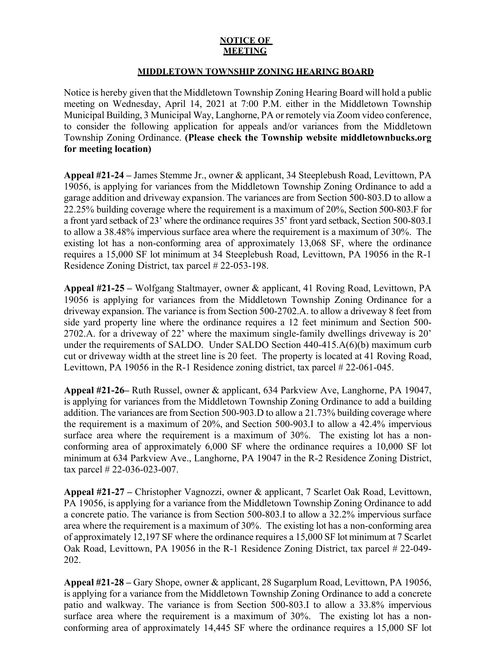## **NOTICE OF MEETING**

## **MIDDLETOWN TOWNSHIP ZONING HEARING BOARD**

Notice is hereby given that the Middletown Township Zoning Hearing Board will hold a public meeting on Wednesday, April 14, 2021 at 7:00 P.M. either in the Middletown Township Municipal Building, 3 Municipal Way, Langhorne, PA or remotely via Zoom video conference, to consider the following application for appeals and/or variances from the Middletown Township Zoning Ordinance. **(Please check the Township website middletownbucks.org for meeting location)** 

**Appeal #21-24 –** James Stemme Jr., owner & applicant, 34 Steeplebush Road, Levittown, PA 19056, is applying for variances from the Middletown Township Zoning Ordinance to add a garage addition and driveway expansion. The variances are from Section 500-803.D to allow a 22.25% building coverage where the requirement is a maximum of 20%, Section 500-803.F for a front yard setback of 23' where the ordinance requires 35' front yard setback, Section 500-803.I to allow a 38.48% impervious surface area where the requirement is a maximum of 30%. The existing lot has a non-conforming area of approximately 13,068 SF, where the ordinance requires a 15,000 SF lot minimum at 34 Steeplebush Road, Levittown, PA 19056 in the R-1 Residence Zoning District, tax parcel # 22-053-198.

**Appeal #21-25 –** Wolfgang Staltmayer, owner & applicant, 41 Roving Road, Levittown, PA 19056 is applying for variances from the Middletown Township Zoning Ordinance for a driveway expansion. The variance is from Section 500-2702.A. to allow a driveway 8 feet from side yard property line where the ordinance requires a 12 feet minimum and Section 500- 2702.A. for a driveway of 22' where the maximum single-family dwellings driveway is 20' under the requirements of SALDO. Under SALDO Section 440-415.A(6)(b) maximum curb cut or driveway width at the street line is 20 feet. The property is located at 41 Roving Road, Levittown, PA 19056 in the R-1 Residence zoning district, tax parcel # 22-061-045.

**Appeal #21-26–** Ruth Russel, owner & applicant, 634 Parkview Ave, Langhorne, PA 19047, is applying for variances from the Middletown Township Zoning Ordinance to add a building addition. The variances are from Section 500-903.D to allow a 21.73% building coverage where the requirement is a maximum of 20%, and Section 500-903.I to allow a 42.4% impervious surface area where the requirement is a maximum of 30%. The existing lot has a nonconforming area of approximately 6,000 SF where the ordinance requires a 10,000 SF lot minimum at 634 Parkview Ave., Langhorne, PA 19047 in the R-2 Residence Zoning District, tax parcel # 22-036-023-007.

**Appeal #21-27 –** Christopher Vagnozzi, owner & applicant, 7 Scarlet Oak Road, Levittown, PA 19056, is applying for a variance from the Middletown Township Zoning Ordinance to add a concrete patio. The variance is from Section 500-803.I to allow a 32.2% impervious surface area where the requirement is a maximum of 30%. The existing lot has a non-conforming area of approximately 12,197 SF where the ordinance requires a 15,000 SF lot minimum at 7 Scarlet Oak Road, Levittown, PA 19056 in the R-1 Residence Zoning District, tax parcel # 22-049- 202.

**Appeal #21-28 –** Gary Shope, owner & applicant, 28 Sugarplum Road, Levittown, PA 19056, is applying for a variance from the Middletown Township Zoning Ordinance to add a concrete patio and walkway. The variance is from Section 500-803.I to allow a 33.8% impervious surface area where the requirement is a maximum of 30%. The existing lot has a nonconforming area of approximately 14,445 SF where the ordinance requires a 15,000 SF lot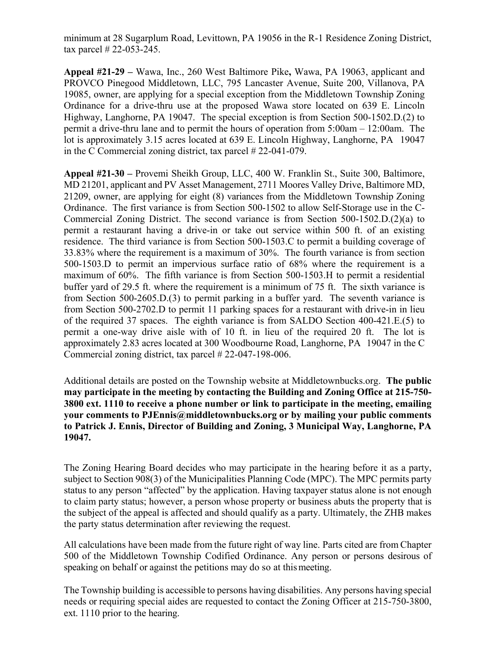minimum at 28 Sugarplum Road, Levittown, PA 19056 in the R-1 Residence Zoning District, tax parcel # 22-053-245.

**Appeal #21-29 –** Wawa, Inc., 260 West Baltimore Pike**,** Wawa, PA 19063, applicant and PROVCO Pinegood Middletown, LLC, 795 Lancaster Avenue, Suite 200, Villanova, PA 19085, owner, are applying for a special exception from the Middletown Township Zoning Ordinance for a drive-thru use at the proposed Wawa store located on 639 E. Lincoln Highway, Langhorne, PA 19047. The special exception is from Section 500-1502.D.(2) to permit a drive-thru lane and to permit the hours of operation from 5:00am – 12:00am. The lot is approximately 3.15 acres located at 639 E. Lincoln Highway, Langhorne, PA 19047 in the C Commercial zoning district, tax parcel # 22-041-079.

**Appeal #21-30 –** Provemi Sheikh Group, LLC, 400 W. Franklin St., Suite 300, Baltimore, MD 21201, applicant and PV Asset Management, 2711 Moores Valley Drive, Baltimore MD, 21209, owner, are applying for eight (8) variances from the Middletown Township Zoning Ordinance. The first variance is from Section 500-1502 to allow Self-Storage use in the C-Commercial Zoning District. The second variance is from Section 500-1502.D.(2)(a) to permit a restaurant having a drive-in or take out service within 500 ft. of an existing residence. The third variance is from Section 500-1503.C to permit a building coverage of 33.83% where the requirement is a maximum of 30%. The fourth variance is from section 500-1503.D to permit an impervious surface ratio of 68% where the requirement is a maximum of 60%. The fifth variance is from Section 500-1503.H to permit a residential buffer yard of 29.5 ft. where the requirement is a minimum of 75 ft. The sixth variance is from Section 500-2605.D.(3) to permit parking in a buffer yard. The seventh variance is from Section 500-2702.D to permit 11 parking spaces for a restaurant with drive-in in lieu of the required 37 spaces. The eighth variance is from SALDO Section 400-421.E.(5) to permit a one-way drive aisle with of 10 ft. in lieu of the required 20 ft. The lot is approximately 2.83 acres located at 300 Woodbourne Road, Langhorne, PA 19047 in the C Commercial zoning district, tax parcel # 22-047-198-006.

Additional details are posted on the Township website at Middletownbucks.org. **The public may participate in the meeting by contacting the Building and Zoning Office at 215-750- 3800 ext. 1110 to receive a phone number or link to participate in the meeting, emailing your comments to PJEnnis@middletownbucks.org or by mailing your public comments to Patrick J. Ennis, Director of Building and Zoning, 3 Municipal Way, Langhorne, PA 19047.** 

The Zoning Hearing Board decides who may participate in the hearing before it as a party, subject to Section 908(3) of the Municipalities Planning Code (MPC). The MPC permits party status to any person "affected" by the application. Having taxpayer status alone is not enough to claim party status; however, a person whose property or business abuts the property that is the subject of the appeal is affected and should qualify as a party. Ultimately, the ZHB makes the party status determination after reviewing the request.

All calculations have been made from the future right of way line. Parts cited are from Chapter 500 of the Middletown Township Codified Ordinance. Any person or persons desirous of speaking on behalf or against the petitions may do so at this meeting.

The Township building is accessible to persons having disabilities. Any persons having special needs or requiring special aides are requested to contact the Zoning Officer at 215-750-3800, ext. 1110 prior to the hearing.